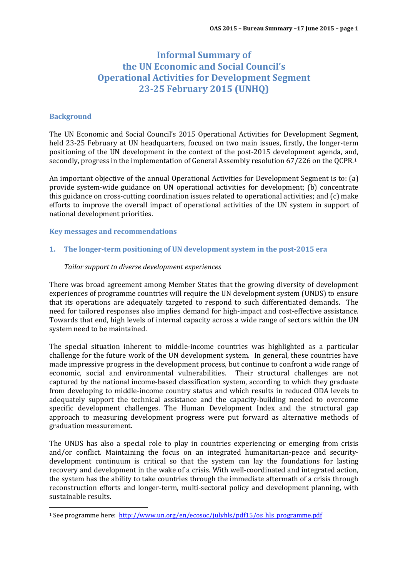# **Informal Summary of the UN Economic and Social Council's Operational Activities for Development Segment 23-25 February 2015 (UNHQ)**

### **Background**

1

The UN Economic and Social Council's 2015 Operational Activities for Development Segment, held 23-25 February at UN headquarters, focused on two main issues, firstly, the longer-term positioning of the UN development in the context of the post-2015 development agenda, and, secondly, progress in the implementation of General Assembly resolution 67/226 on the QCPR.<sup>[1](#page-0-0)</sup>

An important objective of the annual Operational Activities for Development Segment is to: (a) provide system-wide guidance on UN operational activities for development; (b) concentrate this guidance on cross-cutting coordination issues related to operational activities; and (c) make efforts to improve the overall impact of operational activities of the UN system in support of national development priorities.

**Key messages and recommendations**

### **1. The longer-term positioning of UN development system in the post-2015 era**

#### *Tailor support to diverse development experiences*

There was broad agreement among Member States that the growing diversity of development experiences of programme countries will require the UN development system (UNDS) to ensure that its operations are adequately targeted to respond to such differentiated demands. The need for tailored responses also implies demand for high-impact and cost-effective assistance. Towards that end, high levels of internal capacity across a wide range of sectors within the UN system need to be maintained.

The special situation inherent to middle-income countries was highlighted as a particular challenge for the future work of the UN development system. In general, these countries have made impressive progress in the development process, but continue to confront a wide range of economic, social and environmental vulnerabilities. Their structural challenges are not captured by the national income-based classification system, according to which they graduate from developing to middle-income country status and which results in reduced ODA levels to adequately support the technical assistance and the capacity-building needed to overcome specific development challenges. The Human Development Index and the structural gap approach to measuring development progress were put forward as alternative methods of graduation measurement.

The UNDS has also a special role to play in countries experiencing or emerging from crisis and/or conflict. Maintaining the focus on an integrated humanitarian-peace and securitydevelopment continuum is critical so that the system can lay the foundations for lasting recovery and development in the wake of a crisis. With well-coordinated and integrated action, the system has the ability to take countries through the immediate aftermath of a crisis through reconstruction efforts and longer-term, multi-sectoral policy and development planning, with sustainable results.

<span id="page-0-0"></span><sup>1</sup> See programme here: [http://www.un.org/en/ecosoc/julyhls/pdf15/os\\_hls\\_programme.pdf](http://www.un.org/en/ecosoc/julyhls/pdf15/os_hls_programme.pdf)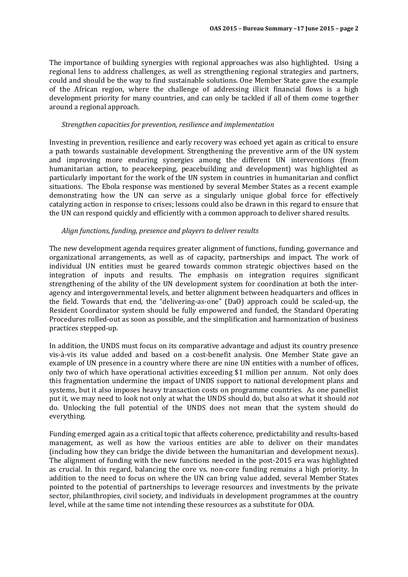The importance of building synergies with regional approaches was also highlighted. Using a regional lens to address challenges, as well as strengthening regional strategies and partners, could and should be the way to find sustainable solutions. One Member State gave the example of the African region, where the challenge of addressing illicit financial flows is a high development priority for many countries, and can only be tackled if all of them come together around a regional approach.

### *Strengthen capacities for prevention, resilience and implementation*

Investing in prevention, resilience and early recovery was echoed yet again as critical to ensure a path towards sustainable development. Strengthening the preventive arm of the UN system and improving more enduring synergies among the different UN interventions (from humanitarian action, to peacekeeping, peacebuilding and development) was highlighted as particularly important for the work of the UN system in countries in humanitarian and conflict situations. The Ebola response was mentioned by several Member States as a recent example demonstrating how the UN can serve as a singularly unique global force for effectively catalyzing action in response to crises; lessons could also be drawn in this regard to ensure that the UN can respond quickly and efficiently with a common approach to deliver shared results.

### *Align functions, funding, presence and players to deliver results*

The new development agenda requires greater alignment of functions, funding, governance and organizational arrangements, as well as of capacity, partnerships and impact. The work of individual UN entities must be geared towards common strategic objectives based on the integration of inputs and results. The emphasis on integration requires significant strengthening of the ability of the UN development system for coordination at both the interagency and intergovernmental levels, and better alignment between headquarters and offices in the field. Towards that end, the "delivering-as-one" (DaO) approach could be scaled-up, the Resident Coordinator system should be fully empowered and funded, the Standard Operating Procedures rolled-out as soon as possible, and the simplification and harmonization of business practices stepped-up.

In addition, the UNDS must focus on its comparative advantage and adjust its country presence vis-à-vis its value added and based on a cost-benefit analysis. One Member State gave an example of UN presence in a country where there are nine UN entities with a number of offices, only two of which have operational activities exceeding \$1 million per annum. Not only does this fragmentation undermine the impact of UNDS support to national development plans and systems, but it also imposes heavy transaction costs on programme countries. As one panellist put it, we may need to look not only at what the UNDS should do, but also at what it should *not*  do. Unlocking the full potential of the UNDS does not mean that the system should do everything.

Funding emerged again as a critical topic that affects coherence, predictability and results-based management, as well as how the various entities are able to deliver on their mandates (including how they can bridge the divide between the humanitarian and development nexus). The alignment of funding with the new functions needed in the post-2015 era was highlighted as crucial. In this regard, balancing the core vs. non-core funding remains a high priority. In addition to the need to focus on where the UN can bring value added, several Member States pointed to the potential of partnerships to leverage resources and investments by the private sector, philanthropies, civil society, and individuals in development programmes at the country level, while at the same time not intending these resources as a substitute for ODA.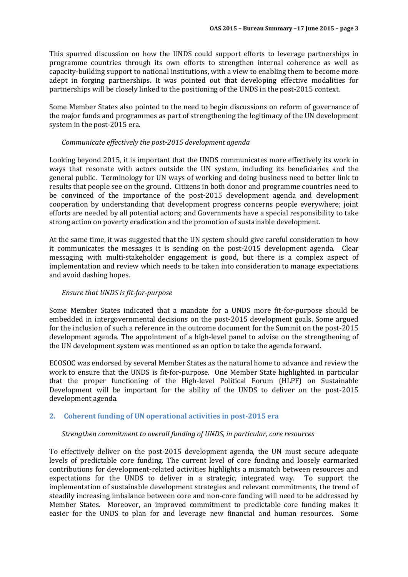This spurred discussion on how the UNDS could support efforts to leverage partnerships in programme countries through its own efforts to strengthen internal coherence as well as capacity-building support to national institutions, with a view to enabling them to become more adept in forging partnerships. It was pointed out that developing effective modalities for partnerships will be closely linked to the positioning of the UNDS in the post-2015 context.

Some Member States also pointed to the need to begin discussions on reform of governance of the major funds and programmes as part of strengthening the legitimacy of the UN development system in the post-2015 era.

### *Communicate effectively the post-2015 development agenda*

Looking beyond 2015, it is important that the UNDS communicates more effectively its work in ways that resonate with actors outside the UN system, including its beneficiaries and the general public. Terminology for UN ways of working and doing business need to better link to results that people see on the ground. Citizens in both donor and programme countries need to be convinced of the importance of the post-2015 development agenda and development cooperation by understanding that development progress concerns people everywhere; joint efforts are needed by all potential actors; and Governments have a special responsibility to take strong action on poverty eradication and the promotion of sustainable development.

At the same time, it was suggested that the UN system should give careful consideration to how it communicates the messages it is sending on the post-2015 development agenda. Clear messaging with multi-stakeholder engagement is good, but there is a complex aspect of implementation and review which needs to be taken into consideration to manage expectations and avoid dashing hopes.

# *Ensure that UNDS is fit-for-purpose*

Some Member States indicated that a mandate for a UNDS more fit-for-purpose should be embedded in intergovernmental decisions on the post-2015 development goals. Some argued for the inclusion of such a reference in the outcome document for the Summit on the post-2015 development agenda. The appointment of a high-level panel to advise on the strengthening of the UN development system was mentioned as an option to take the agenda forward.

ECOSOC was endorsed by several Member States as the natural home to advance and review the work to ensure that the UNDS is fit-for-purpose. One Member State highlighted in particular that the proper functioning of the High-level Political Forum (HLPF) on Sustainable Development will be important for the ability of the UNDS to deliver on the post-2015 development agenda.

# **2. Coherent funding of UN operational activities in post-2015 era**

#### *Strengthen commitment to overall funding of UNDS, in particular, core resources*

To effectively deliver on the post-2015 development agenda, the UN must secure adequate levels of predictable core funding. The current level of core funding and loosely earmarked contributions for development-related activities highlights a mismatch between resources and expectations for the UNDS to deliver in a strategic, integrated way. To support the expectations for the UNDS to deliver in a strategic, integrated way. implementation of sustainable development strategies and relevant commitments, the trend of steadily increasing imbalance between core and non-core funding will need to be addressed by Member States. Moreover, an improved commitment to predictable core funding makes it easier for the UNDS to plan for and leverage new financial and human resources. Some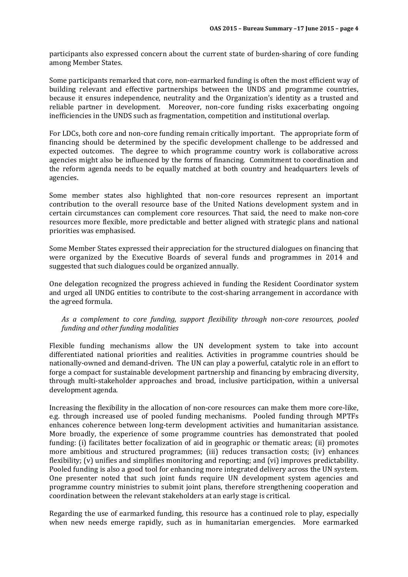participants also expressed concern about the current state of burden-sharing of core funding among Member States.

Some participants remarked that core, non-earmarked funding is often the most efficient way of building relevant and effective partnerships between the UNDS and programme countries, because it ensures independence, neutrality and the Organization's identity as a trusted and reliable partner in development. Moreover, non-core funding risks exacerbating ongoing inefficiencies in the UNDS such as fragmentation, competition and institutional overlap.

For LDCs, both core and non-core funding remain critically important. The appropriate form of financing should be determined by the specific development challenge to be addressed and expected outcomes. The degree to which programme country work is collaborative across agencies might also be influenced by the forms of financing. Commitment to coordination and the reform agenda needs to be equally matched at both country and headquarters levels of agencies.

Some member states also highlighted that non-core resources represent an important contribution to the overall resource base of the United Nations development system and in certain circumstances can complement core resources. That said, the need to make non-core resources more flexible, more predictable and better aligned with strategic plans and national priorities was emphasised.

Some Member States expressed their appreciation for the structured dialogues on financing that were organized by the Executive Boards of several funds and programmes in 2014 and suggested that such dialogues could be organized annually.

One delegation recognized the progress achieved in funding the Resident Coordinator system and urged all UNDG entities to contribute to the cost-sharing arrangement in accordance with the agreed formula.

# *As a complement to core funding, support flexibility through non-core resources, pooled funding and other funding modalities*

Flexible funding mechanisms allow the UN development system to take into account differentiated national priorities and realities. Activities in programme countries should be nationally-owned and demand-driven. The UN can play a powerful, catalytic role in an effort to forge a compact for sustainable development partnership and financing by embracing diversity, through multi-stakeholder approaches and broad, inclusive participation, within a universal development agenda.

Increasing the flexibility in the allocation of non-core resources can make them more core-like, e.g. through increased use of pooled funding mechanisms. Pooled funding through MPTFs enhances coherence between long-term development activities and humanitarian assistance. More broadly, the experience of some programme countries has demonstrated that pooled funding: (i) facilitates better focalization of aid in geographic or thematic areas; (ii) promotes more ambitious and structured programmes; (iii) reduces transaction costs; (iv) enhances flexibility; (v) unifies and simplifies monitoring and reporting; and (vi) improves predictability. Pooled funding is also a good tool for enhancing more integrated delivery across the UN system. One presenter noted that such joint funds require UN development system agencies and programme country ministries to submit joint plans, therefore strengthening cooperation and coordination between the relevant stakeholders at an early stage is critical.

Regarding the use of earmarked funding, this resource has a continued role to play, especially when new needs emerge rapidly, such as in humanitarian emergencies. More earmarked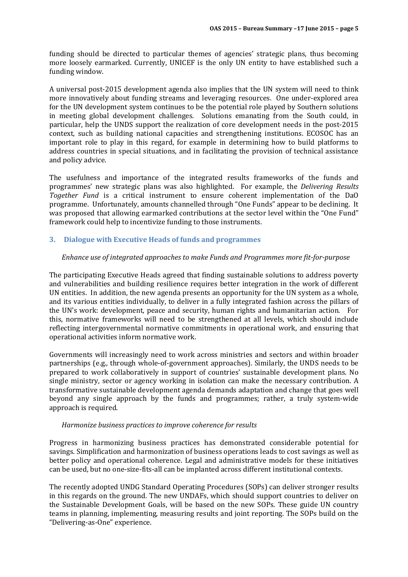funding should be directed to particular themes of agencies' strategic plans, thus becoming more loosely earmarked. Currently, UNICEF is the only UN entity to have established such a funding window.

A universal post-2015 development agenda also implies that the UN system will need to think more innovatively about funding streams and leveraging resources. One under-explored area for the UN development system continues to be the potential role played by Southern solutions in meeting global development challenges. Solutions emanating from the South could, in particular, help the UNDS support the realization of core development needs in the post-2015 context, such as building national capacities and strengthening institutions. ECOSOC has an important role to play in this regard, for example in determining how to build platforms to address countries in special situations, and in facilitating the provision of technical assistance and policy advice.

The usefulness and importance of the integrated results frameworks of the funds and programmes' new strategic plans was also highlighted. For example, the *Delivering Results Together Fund* is a critical instrument to ensure coherent implementation of the DaO programme. Unfortunately, amounts channelled through "One Funds" appear to be declining. It was proposed that allowing earmarked contributions at the sector level within the "One Fund" framework could help to incentivize funding to those instruments.

### **3. Dialogue with Executive Heads of funds and programmes**

#### *Enhance use of integrated approaches to make Funds and Programmes more fit-for-purpose*

The participating Executive Heads agreed that finding sustainable solutions to address poverty and vulnerabilities and building resilience requires better integration in the work of different UN entities. In addition, the new agenda presents an opportunity for the UN system as a whole, and its various entities individually, to deliver in a fully integrated fashion across the pillars of the UN's work: development, peace and security, human rights and humanitarian action. For this, normative frameworks will need to be strengthened at all levels, which should include reflecting intergovernmental normative commitments in operational work, and ensuring that operational activities inform normative work.

Governments will increasingly need to work across ministries and sectors and within broader partnerships (e.g., through whole-of-government approaches). Similarly, the UNDS needs to be prepared to work collaboratively in support of countries' sustainable development plans. No single ministry, sector or agency working in isolation can make the necessary contribution. A transformative sustainable development agenda demands adaptation and change that goes well beyond any single approach by the funds and programmes; rather, a truly system-wide approach is required.

#### *Harmonize business practices to improve coherence for results*

Progress in harmonizing business practices has demonstrated considerable potential for savings. Simplification and harmonization of business operations leads to cost savings as well as better policy and operational coherence. Legal and administrative models for these initiatives can be used, but no one-size-fits-all can be implanted across different institutional contexts.

The recently adopted UNDG Standard Operating Procedures (SOPs) can deliver stronger results in this regards on the ground. The new UNDAFs, which should support countries to deliver on the Sustainable Development Goals, will be based on the new SOPs. These guide UN country teams in planning, implementing, measuring results and joint reporting. The SOPs build on the "Delivering-as-One" experience.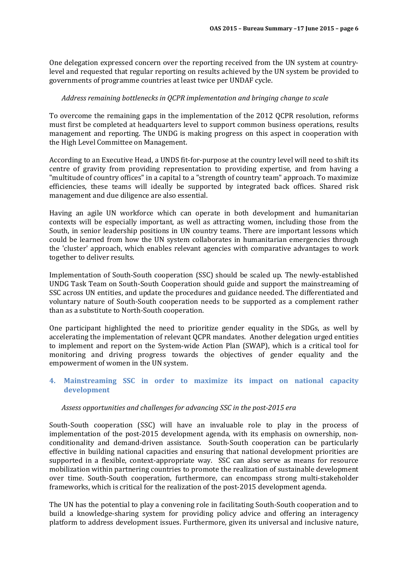One delegation expressed concern over the reporting received from the UN system at countrylevel and requested that regular reporting on results achieved by the UN system be provided to governments of programme countries at least twice per UNDAF cycle.

# *Address remaining bottlenecks in QCPR implementation and bringing change to scale*

To overcome the remaining gaps in the implementation of the 2012 QCPR resolution, reforms must first be completed at headquarters level to support common business operations, results management and reporting. The UNDG is making progress on this aspect in cooperation with the High Level Committee on Management.

According to an Executive Head, a UNDS fit-for-purpose at the country level will need to shift its centre of gravity from providing representation to providing expertise, and from having a "multitude of country offices" in a capital to a "strength of country team" approach. To maximize efficiencies, these teams will ideally be supported by integrated back offices. Shared risk management and due diligence are also essential.

Having an agile UN workforce which can operate in both development and humanitarian contexts will be especially important, as well as attracting women, including those from the South, in senior leadership positions in UN country teams. There are important lessons which could be learned from how the UN system collaborates in humanitarian emergencies through the 'cluster' approach, which enables relevant agencies with comparative advantages to work together to deliver results.

Implementation of South-South cooperation (SSC) should be scaled up. The newly-established UNDG Task Team on South-South Cooperation should guide and support the mainstreaming of SSC across UN entities, and update the procedures and guidance needed. The differentiated and voluntary nature of South-South cooperation needs to be supported as a complement rather than as a substitute to North-South cooperation.

One participant highlighted the need to prioritize gender equality in the SDGs, as well by accelerating the implementation of relevant QCPR mandates. Another delegation urged entities to implement and report on the System-wide Action Plan (SWAP), which is a critical tool for monitoring and driving progress towards the objectives of gender equality and the empowerment of women in the UN system.

# **4. Mainstreaming SSC in order to maximize its impact on national capacity development**

# *Assess opportunities and challenges for advancing SSC in the post-2015 era*

South-South cooperation (SSC) will have an invaluable role to play in the process of implementation of the post-2015 development agenda, with its emphasis on ownership, nonconditionality and demand-driven assistance. South-South cooperation can be particularly effective in building national capacities and ensuring that national development priorities are supported in a flexible, context-appropriate way. SSC can also serve as means for resource mobilization within partnering countries to promote the realization of sustainable development over time. South-South cooperation, furthermore, can encompass strong multi-stakeholder frameworks, which is critical for the realization of the post-2015 development agenda.

The UN has the potential to play a convening role in facilitating South-South cooperation and to build a knowledge-sharing system for providing policy advice and offering an interagency platform to address development issues. Furthermore, given its universal and inclusive nature,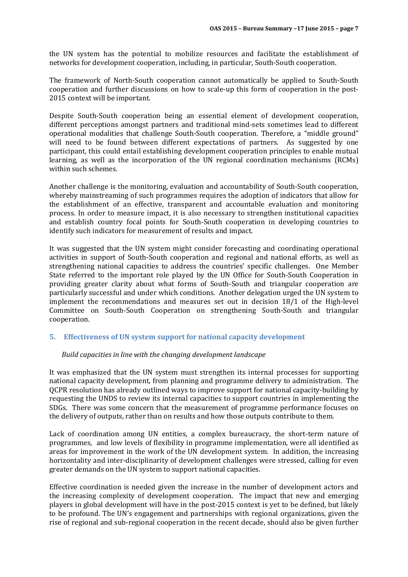the UN system has the potential to mobilize resources and facilitate the establishment of networks for development cooperation, including, in particular, South-South cooperation.

The framework of North-South cooperation cannot automatically be applied to South-South cooperation and further discussions on how to scale-up this form of cooperation in the post-2015 context will be important.

Despite South-South cooperation being an essential element of development cooperation, different perceptions amongst partners and traditional mind-sets sometimes lead to different operational modalities that challenge South-South cooperation. Therefore, a "middle ground" will need to be found between different expectations of partners. As suggested by one participant, this could entail establishing development cooperation principles to enable mutual learning, as well as the incorporation of the UN regional coordination mechanisms (RCMs) within such schemes.

Another challenge is the monitoring, evaluation and accountability of South-South cooperation, whereby mainstreaming of such programmes requires the adoption of indicators that allow for the establishment of an effective, transparent and accountable evaluation and monitoring process. In order to measure impact, it is also necessary to strengthen institutional capacities and establish country focal points for South-South cooperation in developing countries to identify such indicators for measurement of results and impact.

It was suggested that the UN system might consider forecasting and coordinating operational activities in support of South-South cooperation and regional and national efforts, as well as strengthening national capacities to address the countries' specific challenges. One Member State referred to the important role played by the UN Office for South-South Cooperation in providing greater clarity about what forms of South-South and triangular cooperation are particularly successful and under which conditions. Another delegation urged the UN system to implement the recommendations and measures set out in decision 18/1 of the High-level Committee on South-South Cooperation on strengthening South-South and triangular cooperation.

#### **5. Effectiveness of UN system support for national capacity development**

#### *Build capacities in line with the changing development landscape*

It was emphasized that the UN system must strengthen its internal processes for supporting national capacity development, from planning and programme delivery to administration. The QCPR resolution has already outlined ways to improve support for national capacity-building by requesting the UNDS to review its internal capacities to support countries in implementing the SDGs. There was some concern that the measurement of programme performance focuses on the delivery of outputs, rather than on results and how those outputs contribute to them.

Lack of coordination among UN entities, a complex bureaucracy, the short-term nature of programmes, and low levels of flexibility in programme implementation, were all identified as areas for improvement in the work of the UN development system. In addition, the increasing horizontality and inter-disciplinarity of development challenges were stressed, calling for even greater demands on the UN system to support national capacities.

Effective coordination is needed given the increase in the number of development actors and the increasing complexity of development cooperation. The impact that new and emerging players in global development will have in the post-2015 context is yet to be defined, but likely to be profound. The UN's engagement and partnerships with regional organizations, given the rise of regional and sub-regional cooperation in the recent decade, should also be given further